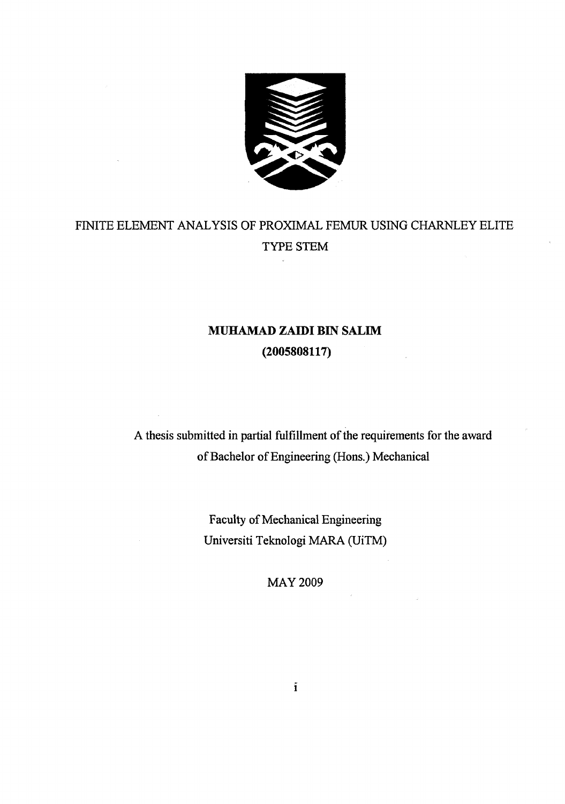

# FINITE ELEMENT ANALYSIS OF PROXIMAL FEMUR USING CHARNLEY ELITE TYPE STEM

 $\bar{R}$ 

# **MUHAMAD ZAIDI BIN SALEM**  (2005808117)

A thesis submitted in partial fulfillment of the requirements for the award of Bachelor of Engineering (Hons.) Mechanical

> Faculty of Mechanical Engineering Universiti Teknologi MARA (UiTM)

> > MAY 2009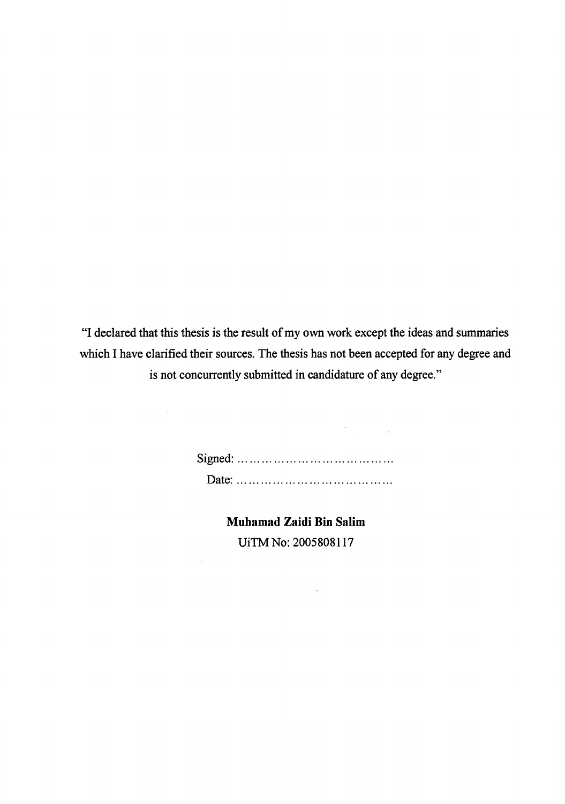"I declared that this thesis is the result of my own work except the ideas and summaries which I have clarified their sources. The thesis has not been accepted for any degree and is not concurrently submitted in candidature of any degree."

> Signed: Date:

 $\mathcal{F}^{\text{max}}_{\text{max}}$  and  $\mathcal{F}^{\text{max}}_{\text{max}}$ 

 $\mathcal{A}^{\mathcal{A}}$ 

 $\bar{z}$ 

**Muhamad Zaidi Bin Salim**  UiTM No: 2005808117

 $\mathcal{A}^{\pm}$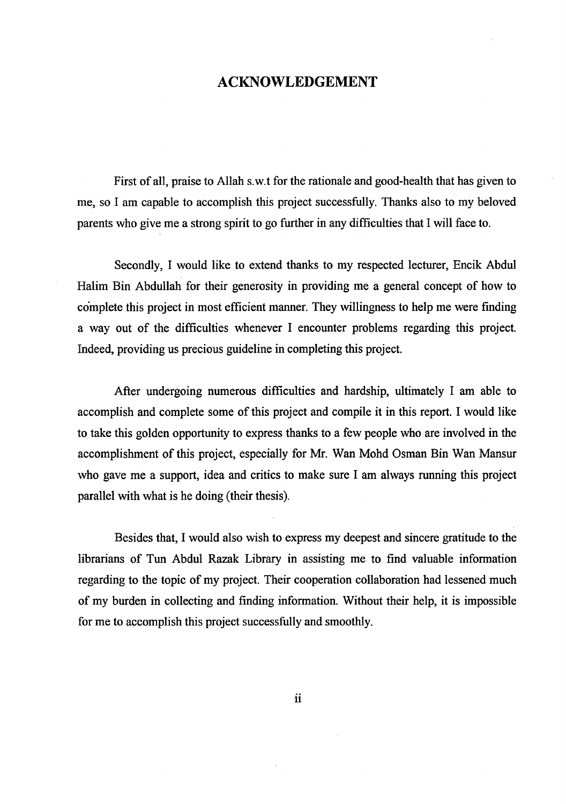### ACKNOWLEDGEMENT

First of all, praise to Allah s.w.t for the rationale and good-health that has given to me, so I am capable to accomplish this project successfully. Thanks also to my beloved parents who give me a strong spirit to go further in any difficulties that I will face to.

Secondly, I would like to extend thanks to my respected lecturer, Encik Abdul Halim Bin Abdullah for their generosity in providing me a general concept of how to complete this project in most efficient manner. They willingness to help me were finding a way out of the difficulties whenever I encounter problems regarding this project Indeed, providing us precious guideline in completing this project.

After undergoing numerous difficulties and hardship, ultimately I am able to accomplish and complete some of this project and compile it in this report. I would like to take this golden opportunity to express thanks to a few people who are involved in the accomplishment of this project, especially for Mr. Wan Mohd Osman Bin Wan Mansur who gave me a support, idea and critics to make sure I am always running this project parallel with what is he doing (their thesis).

Besides that, I would also wish to express my deepest and sincere gratitude to the librarians of Tun Abdul Razak Library in assisting me to find valuable information regarding to the topic of my project. Their cooperation collaboration had lessened much of my burden in collecting and finding information. Without their help, it is impossible for me to accomplish this project successfully and smoothly.

**ii**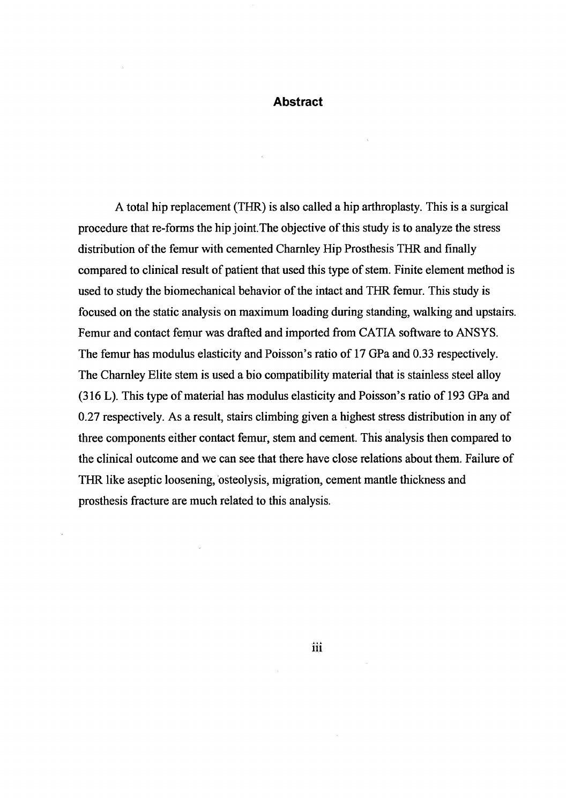#### **Abstract**

A total hip replacement (THR) is also called a hip arthroplasty. This is a surgical procedure that re-forms the hip joint.The objective of this study is to analyze the stress distribution of the femur with cemented Charnley Hip Prosthesis THR and finally compared to clinical result of patient that used this type of stem. Finite element method is used to study the biomechanical behavior of the intact and THR femur. This study is focused on the static analysis on maximum loading during standing, walking and upstairs. Femur and contact femur was drafted and imported from CATIA software to ANSYS. The femur has modulus elasticity and Poisson's ratio of 17 GPa and 0.33 respectively. The Charnley Elite stem is used a bio compatibility material that is stainless steel alloy (316 L). This type of material has modulus elasticity and Poisson's ratio of 193 GPa and 0.27 respectively. As a result, stairs climbing given a highest stress distribution in any of three components either contact femur, stem and cement. This analysis then compared to the clinical outcome and we can see that there have close relations about them. Failure of THR like aseptic loosening, osteolysis, migration, cement mantle thickness and prosthesis fracture are much related to this analysis.

 $\mathbf{iii}$